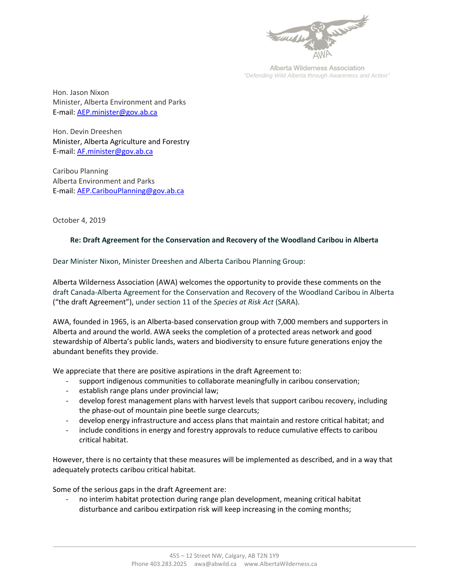

Alberta Wilderness Association *"Defending Wild Alberta through Awareness and Action"*

Hon. Jason Nixon Minister, Alberta Environment and Parks E-mail: [AEP.minister@gov.ab.ca](mailto:AEP.minister@gov.ab.ca)

Hon. Devin Dreeshen Minister, Alberta Agriculture and Forestry E-mail: [AF.minister@gov.ab.ca](mailto:AF.minister@gov.ab.ca)

Caribou Planning Alberta Environment and Parks E-mail: [AEP.CaribouPlanning@gov.ab.ca](mailto:AEP.CaribouPlanning@gov.ab.ca) 

October 4, 2019

## **Re: Draft Agreement for the Conservation and Recovery of the Woodland Caribou in Alberta**

Dear Minister Nixon, Minister Dreeshen and Alberta Caribou Planning Group:

Alberta Wilderness Association (AWA) welcomes the opportunity to provide these comments on the draft Canada-Alberta Agreement for the Conservation and Recovery of the Woodland Caribou in Alberta ("the draft Agreement"), under section 11 of the *Species at Risk Act* (SARA).

AWA, founded in 1965, is an Alberta-based conservation group with 7,000 members and supporters in Alberta and around the world. AWA seeks the completion of a protected areas network and good stewardship of Alberta's public lands, waters and biodiversity to ensure future generations enjoy the abundant benefits they provide.

We appreciate that there are positive aspirations in the draft Agreement to:

- support indigenous communities to collaborate meaningfully in caribou conservation;
- establish range plans under provincial law;
- develop forest management plans with harvest levels that support caribou recovery, including the phase-out of mountain pine beetle surge clearcuts;
- develop energy infrastructure and access plans that maintain and restore critical habitat; and
- include conditions in energy and forestry approvals to reduce cumulative effects to caribou critical habitat.

However, there is no certainty that these measures will be implemented as described, and in a way that adequately protects caribou critical habitat.

Some of the serious gaps in the draft Agreement are:

- no interim habitat protection during range plan development, meaning critical habitat disturbance and caribou extirpation risk will keep increasing in the coming months;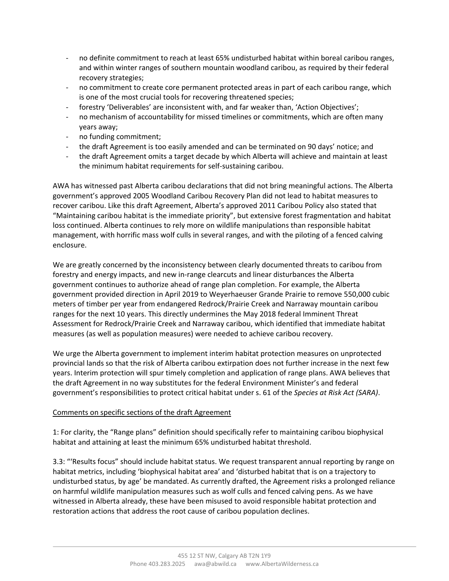- no definite commitment to reach at least 65% undisturbed habitat within boreal caribou ranges, and within winter ranges of southern mountain woodland caribou, as required by their federal recovery strategies;
- no commitment to create core permanent protected areas in part of each caribou range, which is one of the most crucial tools for recovering threatened species;
- forestry 'Deliverables' are inconsistent with, and far weaker than, 'Action Objectives';
- no mechanism of accountability for missed timelines or commitments, which are often many years away;
- no funding commitment;
- the draft Agreement is too easily amended and can be terminated on 90 days' notice; and
- the draft Agreement omits a target decade by which Alberta will achieve and maintain at least the minimum habitat requirements for self-sustaining caribou.

AWA has witnessed past Alberta caribou declarations that did not bring meaningful actions. The Alberta government's approved 2005 Woodland Caribou Recovery Plan did not lead to habitat measures to recover caribou. Like this draft Agreement, Alberta's approved 2011 Caribou Policy also stated that "Maintaining caribou habitat is the immediate priority", but extensive forest fragmentation and habitat loss continued. Alberta continues to rely more on wildlife manipulations than responsible habitat management, with horrific mass wolf culls in several ranges, and with the piloting of a fenced calving enclosure.

We are greatly concerned by the inconsistency between clearly documented threats to caribou from forestry and energy impacts, and new in-range clearcuts and linear disturbances the Alberta government continues to authorize ahead of range plan completion. For example, the Alberta government provided direction in April 2019 to Weyerhaeuser Grande Prairie to remove 550,000 cubic meters of timber per year from endangered Redrock/Prairie Creek and Narraway mountain caribou ranges for the next 10 years. This directly undermines the May 2018 federal Imminent Threat Assessment for Redrock/Prairie Creek and Narraway caribou, which identified that immediate habitat measures (as well as population measures) were needed to achieve caribou recovery.

We urge the Alberta government to implement interim habitat protection measures on unprotected provincial lands so that the risk of Alberta caribou extirpation does not further increase in the next few years. Interim protection will spur timely completion and application of range plans. AWA believes that the draft Agreement in no way substitutes for the federal Environment Minister's and federal government's responsibilities to protect critical habitat under s. 61 of the *Species at Risk Act (SARA)*.

## Comments on specific sections of the draft Agreement

1: For clarity, the "Range plans" definition should specifically refer to maintaining caribou biophysical habitat and attaining at least the minimum 65% undisturbed habitat threshold.

3.3: "'Results focus" should include habitat status. We request transparent annual reporting by range on habitat metrics, including 'biophysical habitat area' and 'disturbed habitat that is on a trajectory to undisturbed status, by age' be mandated. As currently drafted, the Agreement risks a prolonged reliance on harmful wildlife manipulation measures such as wolf culls and fenced calving pens. As we have witnessed in Alberta already, these have been misused to avoid responsible habitat protection and restoration actions that address the root cause of caribou population declines.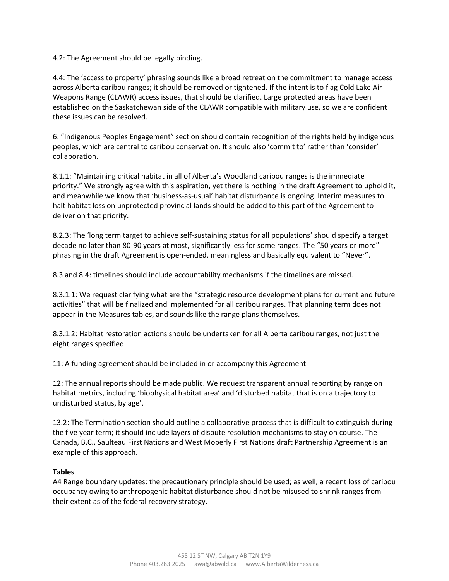4.2: The Agreement should be legally binding.

4.4: The 'access to property' phrasing sounds like a broad retreat on the commitment to manage access across Alberta caribou ranges; it should be removed or tightened. If the intent is to flag Cold Lake Air Weapons Range (CLAWR) access issues, that should be clarified. Large protected areas have been established on the Saskatchewan side of the CLAWR compatible with military use, so we are confident these issues can be resolved.

6: "Indigenous Peoples Engagement" section should contain recognition of the rights held by indigenous peoples, which are central to caribou conservation. It should also 'commit to' rather than 'consider' collaboration.

8.1.1: "Maintaining critical habitat in all of Alberta's Woodland caribou ranges is the immediate priority." We strongly agree with this aspiration, yet there is nothing in the draft Agreement to uphold it, and meanwhile we know that 'business-as-usual' habitat disturbance is ongoing. Interim measures to halt habitat loss on unprotected provincial lands should be added to this part of the Agreement to deliver on that priority.

8.2.3: The 'long term target to achieve self-sustaining status for all populations' should specify a target decade no later than 80-90 years at most, significantly less for some ranges. The "50 years or more" phrasing in the draft Agreement is open-ended, meaningless and basically equivalent to "Never".

8.3 and 8.4: timelines should include accountability mechanisms if the timelines are missed.

8.3.1.1: We request clarifying what are the "strategic resource development plans for current and future activities" that will be finalized and implemented for all caribou ranges. That planning term does not appear in the Measures tables, and sounds like the range plans themselves.

8.3.1.2: Habitat restoration actions should be undertaken for all Alberta caribou ranges, not just the eight ranges specified.

11: A funding agreement should be included in or accompany this Agreement

12: The annual reports should be made public. We request transparent annual reporting by range on habitat metrics, including 'biophysical habitat area' and 'disturbed habitat that is on a trajectory to undisturbed status, by age'.

13.2: The Termination section should outline a collaborative process that is difficult to extinguish during the five year term; it should include layers of dispute resolution mechanisms to stay on course. The Canada, B.C., Saulteau First Nations and West Moberly First Nations draft Partnership Agreement is an example of this approach.

## **Tables**

A4 Range boundary updates: the precautionary principle should be used; as well, a recent loss of caribou occupancy owing to anthropogenic habitat disturbance should not be misused to shrink ranges from their extent as of the federal recovery strategy.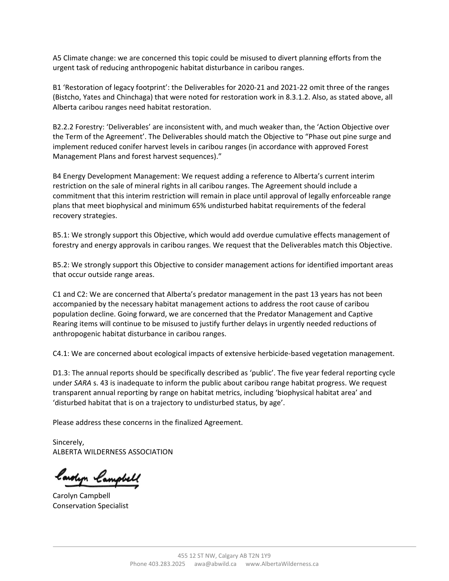A5 Climate change: we are concerned this topic could be misused to divert planning efforts from the urgent task of reducing anthropogenic habitat disturbance in caribou ranges.

B1 'Restoration of legacy footprint': the Deliverables for 2020-21 and 2021-22 omit three of the ranges (Bistcho, Yates and Chinchaga) that were noted for restoration work in 8.3.1.2. Also, as stated above, all Alberta caribou ranges need habitat restoration.

B2.2.2 Forestry: 'Deliverables' are inconsistent with, and much weaker than, the 'Action Objective over the Term of the Agreement'. The Deliverables should match the Objective to "Phase out pine surge and implement reduced conifer harvest levels in caribou ranges (in accordance with approved Forest Management Plans and forest harvest sequences)."

B4 Energy Development Management: We request adding a reference to Alberta's current interim restriction on the sale of mineral rights in all caribou ranges. The Agreement should include a commitment that this interim restriction will remain in place until approval of legally enforceable range plans that meet biophysical and minimum 65% undisturbed habitat requirements of the federal recovery strategies.

B5.1: We strongly support this Objective, which would add overdue cumulative effects management of forestry and energy approvals in caribou ranges. We request that the Deliverables match this Objective.

B5.2: We strongly support this Objective to consider management actions for identified important areas that occur outside range areas.

C1 and C2: We are concerned that Alberta's predator management in the past 13 years has not been accompanied by the necessary habitat management actions to address the root cause of caribou population decline. Going forward, we are concerned that the Predator Management and Captive Rearing items will continue to be misused to justify further delays in urgently needed reductions of anthropogenic habitat disturbance in caribou ranges.

C4.1: We are concerned about ecological impacts of extensive herbicide-based vegetation management.

D1.3: The annual reports should be specifically described as 'public'. The five year federal reporting cycle under *SARA* s. 43 is inadequate to inform the public about caribou range habitat progress. We request transparent annual reporting by range on habitat metrics, including 'biophysical habitat area' and 'disturbed habitat that is on a trajectory to undisturbed status, by age'.

Please address these concerns in the finalized Agreement.

Sincerely, ALBERTA WILDERNESS ASSOCIATION

lawlyn lampbell

Carolyn Campbell Conservation Specialist